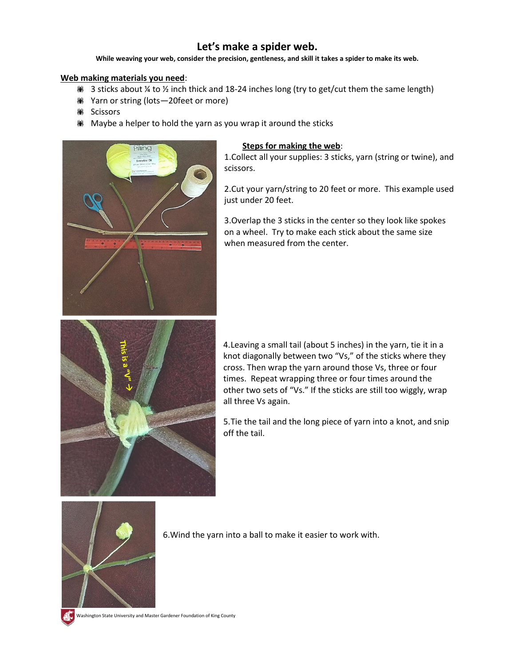## **Let's make a spider web.**

**While weaving your web, consider the precision, gentleness, and skill it takes a spider to make its web.**

## **Web making materials you need**:

- $\bullet$  3 sticks about ¼ to ½ inch thick and 18-24 inches long (try to get/cut them the same length)
- We Yarn or string (lots-20feet or more)
- **(M)** Scissors
- **Maybe a helper to hold the yarn as you wrap it around the sticks**



## **Steps for making the web**:

1.Collect all your supplies: 3 sticks, yarn (string or twine), and scissors.

2.Cut your yarn/string to 20 feet or more. This example used just under 20 feet.

3.Overlap the 3 sticks in the center so they look like spokes on a wheel. Try to make each stick about the same size when measured from the center.



4.Leaving a small tail (about 5 inches) in the yarn, tie it in a knot diagonally between two "Vs," of the sticks where they cross. Then wrap the yarn around those Vs, three or four times. Repeat wrapping three or four times around the other two sets of "Vs." If the sticks are still too wiggly, wrap all three Vs again.

5.Tie the tail and the long piece of yarn into a knot, and snip off the tail.



6.Wind the yarn into a ball to make it easier to work with.

Washington State University and Master Gardener Foundation of King County